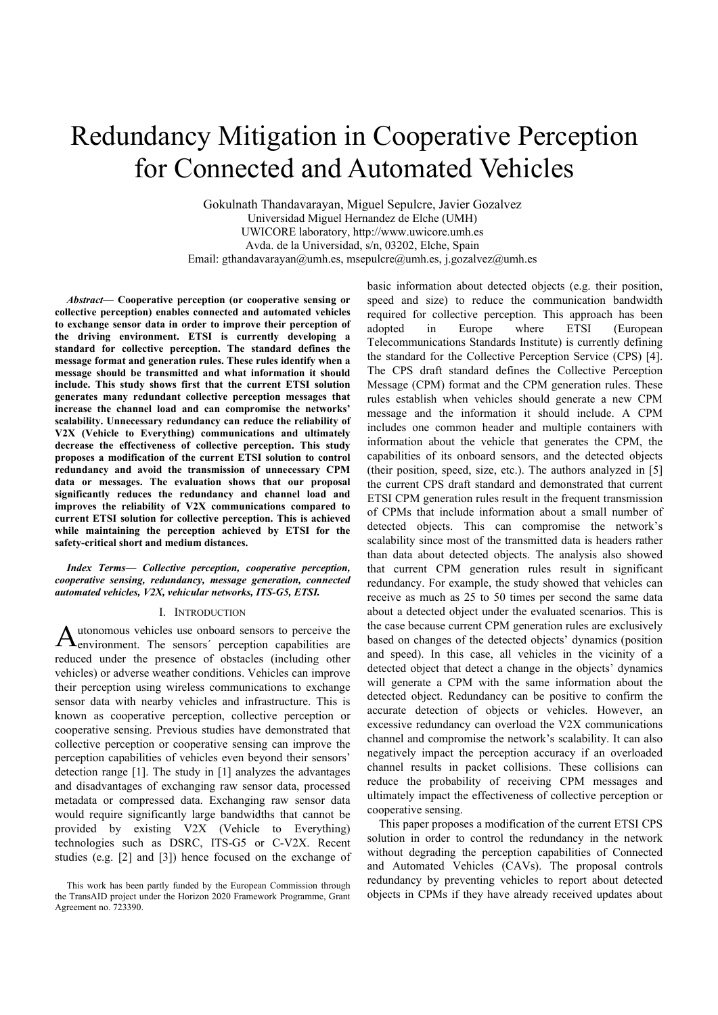# Redundancy Mitigation in Cooperative Perception for Connected and Automated Vehicles

Gokulnath Thandavarayan, Miguel Sepulcre, Javier Gozalvez Universidad Miguel Hernandez de Elche (UMH) UWICORE laboratory, http://www.uwicore.umh.es Avda. de la Universidad, s/n, 03202, Elche, Spain Email: gthandavarayan@umh.es, msepulcre@umh.es, j.gozalvez@umh.es

*Abstract***— Cooperative perception (or cooperative sensing or collective perception) enables connected and automated vehicles to exchange sensor data in order to improve their perception of the driving environment. ETSI is currently developing a standard for collective perception. The standard defines the message format and generation rules. These rules identify when a message should be transmitted and what information it should include. This study shows first that the current ETSI solution generates many redundant collective perception messages that increase the channel load and can compromise the networks' scalability. Unnecessary redundancy can reduce the reliability of V2X (Vehicle to Everything) communications and ultimately decrease the effectiveness of collective perception. This study proposes a modification of the current ETSI solution to control redundancy and avoid the transmission of unnecessary CPM data or messages. The evaluation shows that our proposal significantly reduces the redundancy and channel load and improves the reliability of V2X communications compared to current ETSI solution for collective perception. This is achieved while maintaining the perception achieved by ETSI for the safety-critical short and medium distances.** 

*Index Terms***—** *Collective perception, cooperative perception, cooperative sensing, redundancy, message generation, connected automated vehicles, V2X, vehicular networks, ITS-G5, ETSI.* 

#### I. INTRODUCTION

utonomous vehicles use onboard sensors to perceive the  $A$ utonomous vehicles use onboard sensors to perceive the environment. The sensors' perception capabilities are reduced under the presence of obstacles (including other vehicles) or adverse weather conditions. Vehicles can improve their perception using wireless communications to exchange sensor data with nearby vehicles and infrastructure. This is known as cooperative perception, collective perception or cooperative sensing. Previous studies have demonstrated that collective perception or cooperative sensing can improve the perception capabilities of vehicles even beyond their sensors' detection range [1]. The study in [1] analyzes the advantages and disadvantages of exchanging raw sensor data, processed metadata or compressed data. Exchanging raw sensor data would require significantly large bandwidths that cannot be provided by existing V2X (Vehicle to Everything) technologies such as DSRC, ITS-G5 or C-V2X. Recent studies (e.g. [2] and [3]) hence focused on the exchange of

basic information about detected objects (e.g. their position, speed and size) to reduce the communication bandwidth required for collective perception. This approach has been adopted in Europe where ETSI (European Telecommunications Standards Institute) is currently defining the standard for the Collective Perception Service (CPS) [4]. The CPS draft standard defines the Collective Perception Message (CPM) format and the CPM generation rules. These rules establish when vehicles should generate a new CPM message and the information it should include. A CPM includes one common header and multiple containers with information about the vehicle that generates the CPM, the capabilities of its onboard sensors, and the detected objects (their position, speed, size, etc.). The authors analyzed in [5] the current CPS draft standard and demonstrated that current ETSI CPM generation rules result in the frequent transmission of CPMs that include information about a small number of detected objects. This can compromise the network's scalability since most of the transmitted data is headers rather than data about detected objects. The analysis also showed that current CPM generation rules result in significant redundancy. For example, the study showed that vehicles can receive as much as 25 to 50 times per second the same data about a detected object under the evaluated scenarios. This is the case because current CPM generation rules are exclusively based on changes of the detected objects' dynamics (position and speed). In this case, all vehicles in the vicinity of a detected object that detect a change in the objects' dynamics will generate a CPM with the same information about the detected object. Redundancy can be positive to confirm the accurate detection of objects or vehicles. However, an excessive redundancy can overload the V2X communications channel and compromise the network's scalability. It can also negatively impact the perception accuracy if an overloaded channel results in packet collisions. These collisions can reduce the probability of receiving CPM messages and ultimately impact the effectiveness of collective perception or cooperative sensing.

This paper proposes a modification of the current ETSI CPS solution in order to control the redundancy in the network without degrading the perception capabilities of Connected and Automated Vehicles (CAVs). The proposal controls redundancy by preventing vehicles to report about detected objects in CPMs if they have already received updates about

This work has been partly funded by the European Commission through the TransAID project under the Horizon 2020 Framework Programme, Grant Agreement no. 723390.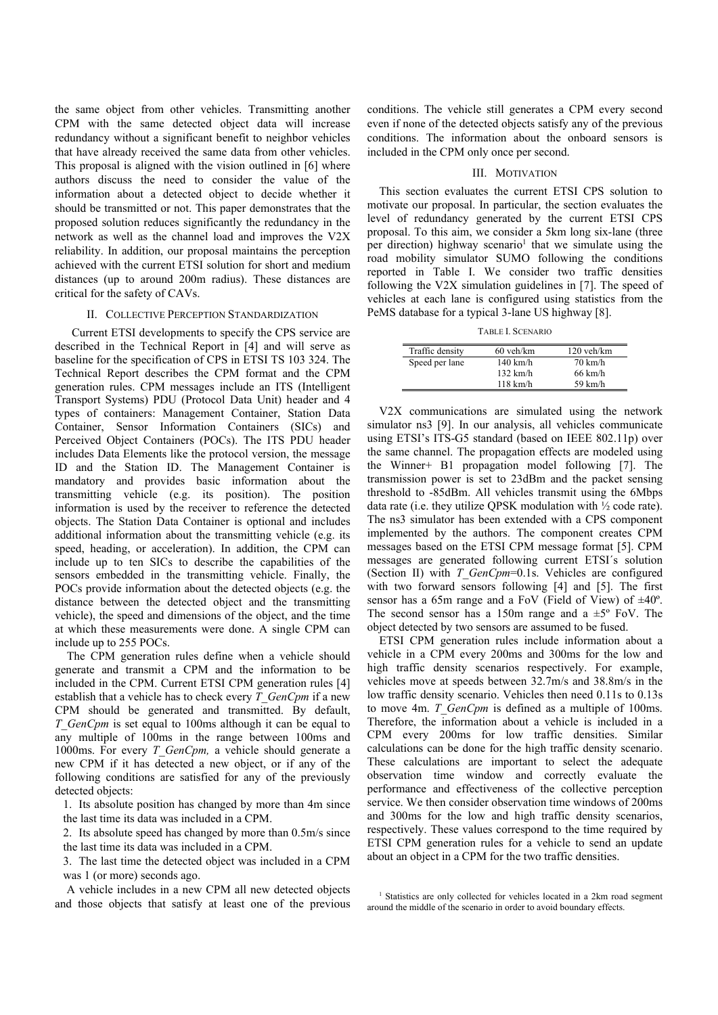the same object from other vehicles. Transmitting another CPM with the same detected object data will increase redundancy without a significant benefit to neighbor vehicles that have already received the same data from other vehicles. This proposal is aligned with the vision outlined in [6] where authors discuss the need to consider the value of the information about a detected object to decide whether it should be transmitted or not. This paper demonstrates that the proposed solution reduces significantly the redundancy in the network as well as the channel load and improves the V2X reliability. In addition, our proposal maintains the perception achieved with the current ETSI solution for short and medium distances (up to around 200m radius). These distances are critical for the safety of CAVs.

### II. COLLECTIVE PERCEPTION STANDARDIZATION

Current ETSI developments to specify the CPS service are described in the Technical Report in [4] and will serve as baseline for the specification of CPS in ETSI TS 103 324. The Technical Report describes the CPM format and the CPM generation rules. CPM messages include an ITS (Intelligent Transport Systems) PDU (Protocol Data Unit) header and 4 types of containers: Management Container, Station Data Container, Sensor Information Containers (SICs) and Perceived Object Containers (POCs). The ITS PDU header includes Data Elements like the protocol version, the message ID and the Station ID. The Management Container is mandatory and provides basic information about the transmitting vehicle (e.g. its position). The position information is used by the receiver to reference the detected objects. The Station Data Container is optional and includes additional information about the transmitting vehicle (e.g. its speed, heading, or acceleration). In addition, the CPM can include up to ten SICs to describe the capabilities of the sensors embedded in the transmitting vehicle. Finally, the POCs provide information about the detected objects (e.g. the distance between the detected object and the transmitting vehicle), the speed and dimensions of the object, and the time at which these measurements were done. A single CPM can include up to 255 POCs.

The CPM generation rules define when a vehicle should generate and transmit a CPM and the information to be included in the CPM. Current ETSI CPM generation rules [4] establish that a vehicle has to check every *T\_GenCpm* if a new CPM should be generated and transmitted. By default, *T\_GenCpm* is set equal to 100ms although it can be equal to any multiple of 100ms in the range between 100ms and 1000ms. For every *T\_GenCpm,* a vehicle should generate a new CPM if it has detected a new object, or if any of the following conditions are satisfied for any of the previously detected objects:

1. Its absolute position has changed by more than 4m since the last time its data was included in a CPM.

2. Its absolute speed has changed by more than 0.5m/s since the last time its data was included in a CPM.

3. The last time the detected object was included in a CPM was 1 (or more) seconds ago.

A vehicle includes in a new CPM all new detected objects and those objects that satisfy at least one of the previous conditions. The vehicle still generates a CPM every second even if none of the detected objects satisfy any of the previous conditions. The information about the onboard sensors is included in the CPM only once per second.

#### III. MOTIVATION

This section evaluates the current ETSI CPS solution to motivate our proposal. In particular, the section evaluates the level of redundancy generated by the current ETSI CPS proposal. To this aim, we consider a 5km long six-lane (three per direction) highway scenario<sup>1</sup> that we simulate using the road mobility simulator SUMO following the conditions reported in Table I. We consider two traffic densities following the V2X simulation guidelines in [7]. The speed of vehicles at each lane is configured using statistics from the PeMS database for a typical 3-lane US highway [8].

TABLE I. SCENARIO

| Traffic density | $60$ veh/km        | 120 veh/km        |
|-----------------|--------------------|-------------------|
| Speed per lane  | $140 \text{ km/h}$ | $70 \text{ km/h}$ |
|                 | $132 \text{ km/h}$ | $66 \text{ km/h}$ |
|                 | $118 \text{ km/h}$ | 59 km/h           |

V2X communications are simulated using the network simulator ns3 [9]. In our analysis, all vehicles communicate using ETSI's ITS-G5 standard (based on IEEE 802.11p) over the same channel. The propagation effects are modeled using the Winner+ B1 propagation model following [7]. The transmission power is set to 23dBm and the packet sensing threshold to -85dBm. All vehicles transmit using the 6Mbps data rate (i.e. they utilize QPSK modulation with ½ code rate). The ns3 simulator has been extended with a CPS component implemented by the authors. The component creates CPM messages based on the ETSI CPM message format [5]. CPM messages are generated following current ETSI´s solution (Section II) with *T\_GenCpm*=0.1s. Vehicles are configured with two forward sensors following [4] and [5]. The first sensor has a 65m range and a FoV (Field of View) of  $\pm 40^{\circ}$ . The second sensor has a 150m range and a  $\pm 5^{\circ}$  FoV. The object detected by two sensors are assumed to be fused.

ETSI CPM generation rules include information about a vehicle in a CPM every 200ms and 300ms for the low and high traffic density scenarios respectively. For example, vehicles move at speeds between 32.7m/s and 38.8m/s in the low traffic density scenario. Vehicles then need 0.11s to 0.13s to move 4m. *T\_GenCpm* is defined as a multiple of 100ms. Therefore, the information about a vehicle is included in a CPM every 200ms for low traffic densities. Similar calculations can be done for the high traffic density scenario. These calculations are important to select the adequate observation time window and correctly evaluate the performance and effectiveness of the collective perception service. We then consider observation time windows of 200ms and 300ms for the low and high traffic density scenarios, respectively. These values correspond to the time required by ETSI CPM generation rules for a vehicle to send an update about an object in a CPM for the two traffic densities.

<sup>&</sup>lt;sup>1</sup> Statistics are only collected for vehicles located in a 2km road segment around the middle of the scenario in order to avoid boundary effects.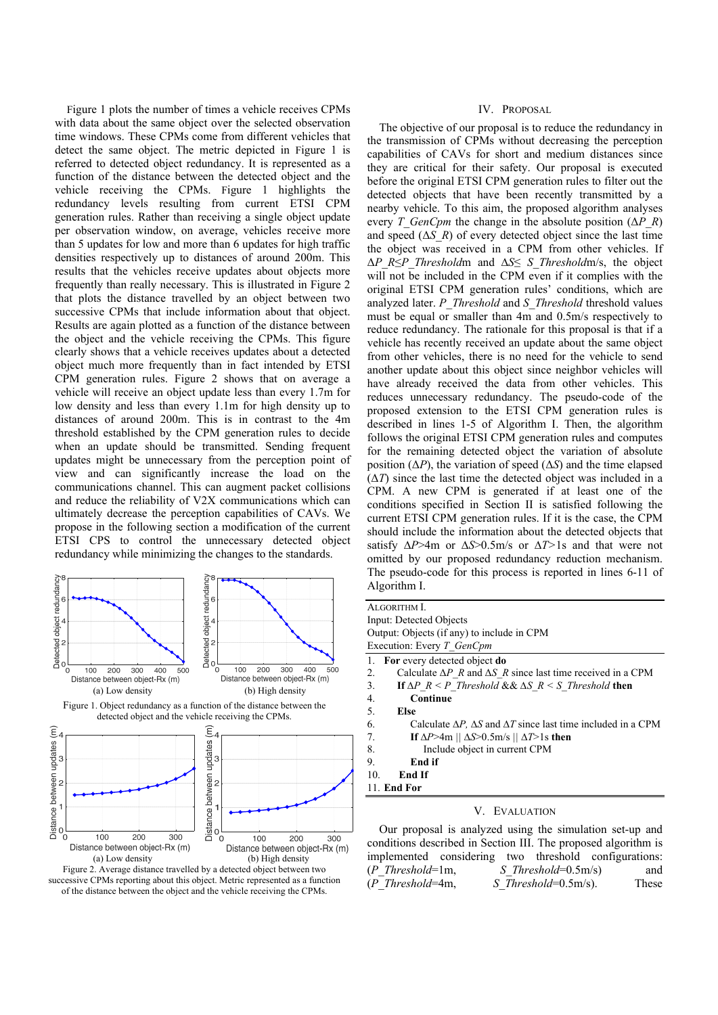Figure 1 plots the number of times a vehicle receives CPMs with data about the same object over the selected observation time windows. These CPMs come from different vehicles that detect the same object. The metric depicted in Figure 1 is referred to detected object redundancy. It is represented as a function of the distance between the detected object and the vehicle receiving the CPMs. Figure 1 highlights the redundancy levels resulting from current ETSI CPM generation rules. Rather than receiving a single object update per observation window, on average, vehicles receive more than 5 updates for low and more than 6 updates for high traffic densities respectively up to distances of around 200m. This results that the vehicles receive updates about objects more frequently than really necessary. This is illustrated in Figure 2 that plots the distance travelled by an object between two successive CPMs that include information about that object. Results are again plotted as a function of the distance between the object and the vehicle receiving the CPMs. This figure clearly shows that a vehicle receives updates about a detected object much more frequently than in fact intended by ETSI CPM generation rules. Figure 2 shows that on average a vehicle will receive an object update less than every 1.7m for low density and less than every 1.1m for high density up to distances of around 200m. This is in contrast to the 4m threshold established by the CPM generation rules to decide when an update should be transmitted. Sending frequent updates might be unnecessary from the perception point of view and can significantly increase the load on the communications channel. This can augment packet collisions and reduce the reliability of V2X communications which can ultimately decrease the perception capabilities of CAVs. We propose in the following section a modification of the current ETSI CPS to control the unnecessary detected object redundancy while minimizing the changes to the standards.





#### IV. PROPOSAL

The objective of our proposal is to reduce the redundancy in the transmission of CPMs without decreasing the perception capabilities of CAVs for short and medium distances since they are critical for their safety. Our proposal is executed before the original ETSI CPM generation rules to filter out the detected objects that have been recently transmitted by a nearby vehicle. To this aim, the proposed algorithm analyses every *T\_GenCpm* the change in the absolute position ( $\Delta P$  *R*) and speed  $(\Delta S \, R)$  of every detected object since the last time the object was received in a CPM from other vehicles. If Δ*P\_R*≤*P\_Threshold*m and ∆*S*≤ *S\_Threshold*m/s, the object will not be included in the CPM even if it complies with the original ETSI CPM generation rules' conditions, which are analyzed later. *P\_Threshold* and *S\_Threshold* threshold values must be equal or smaller than 4m and 0.5m/s respectively to reduce redundancy. The rationale for this proposal is that if a vehicle has recently received an update about the same object from other vehicles, there is no need for the vehicle to send another update about this object since neighbor vehicles will have already received the data from other vehicles. This reduces unnecessary redundancy. The pseudo-code of the proposed extension to the ETSI CPM generation rules is described in lines 1-5 of Algorithm I. Then, the algorithm follows the original ETSI CPM generation rules and computes for the remaining detected object the variation of absolute position  $(\Delta P)$ , the variation of speed  $(\Delta S)$  and the time elapsed  $(\Delta T)$  since the last time the detected object was included in a CPM. A new CPM is generated if at least one of the conditions specified in Section II is satisfied following the current ETSI CPM generation rules. If it is the case, the CPM should include the information about the detected objects that satisfy ∆*P*>4m or ∆*S*>0.5m/s or ∆*T>*1s and that were not omitted by our proposed redundancy reduction mechanism. The pseudo-code for this process is reported in lines 6-11 of Algorithm I.

| ALGORITHM I.                                                                             |
|------------------------------------------------------------------------------------------|
| Input: Detected Objects                                                                  |
| Output: Objects (if any) to include in CPM                                               |
| Execution: Every T GenCpm                                                                |
| 1. For every detected object do                                                          |
| 2.<br>Calculate $\Delta P$ R and $\Delta S$ R since last time received in a CPM          |
| 3.<br>If $\Delta P$ $R \leq P$ Threshold && $\Delta S$ $R \leq S$ Threshold then         |
| 4.<br>Continue                                                                           |
| 5.<br>Else                                                                               |
| 6.<br>Calculate $\Delta P$ , $\Delta S$ and $\Delta T$ since last time included in a CPM |
| 7.<br>If $\Delta P > 4m$    $\Delta S > 0.5m/s$    $\Delta T > 1s$ then                  |
| 8.<br>Include object in current CPM                                                      |
| 9.<br>End if                                                                             |
| 10.<br>End If                                                                            |
| 11. End For                                                                              |

#### V. EVALUATION

Our proposal is analyzed using the simulation set-up and conditions described in Section III. The proposed algorithm is implemented considering two threshold configurations: (*P\_Threshold*=1m, *S\_Threshold*=0.5m/s) and (*P\_Threshold*=4m, *S\_Threshold*=0.5m/s). These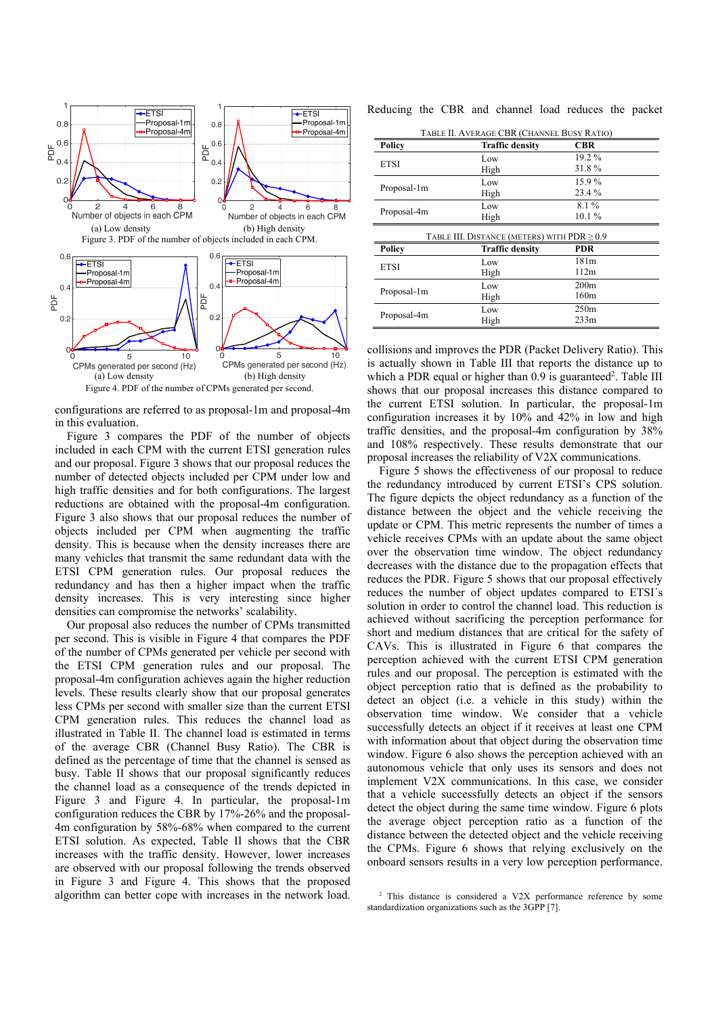

configurations are referred to as proposal-1m and proposal-4m in this evaluation.

Figure 3 compares the PDF of the number of objects included in each CPM with the current ETSI generation rules and our proposal. Figure 3 shows that our proposal reduces the number of detected objects included per CPM under low and high traffic densities and for both configurations. The largest reductions are obtained with the proposal-4m configuration. Figure 3 also shows that our proposal reduces the number of objects included per CPM when augmenting the traffic density. This is because when the density increases there are many vehicles that transmit the same redundant data with the ETSI CPM generation rules. Our proposal reduces the redundancy and has then a higher impact when the traffic density increases. This is very interesting since higher densities can compromise the networks' scalability.

Our proposal also reduces the number of CPMs transmitted per second. This is visible in Figure 4 that compares the PDF of the number of CPMs generated per vehicle per second with the ETSI CPM generation rules and our proposal. The proposal-4m configuration achieves again the higher reduction levels. These results clearly show that our proposal generates less CPMs per second with smaller size than the current ETSI CPM generation rules. This reduces the channel load as illustrated in Table II. The channel load is estimated in terms of the average CBR (Channel Busy Ratio). The CBR is defined as the percentage of time that the channel is sensed as busy. Table II shows that our proposal significantly reduces the channel load as a consequence of the trends depicted in Figure 3 and Figure 4. In particular, the proposal-1m configuration reduces the CBR by 17%-26% and the proposal-4m configuration by 58%-68% when compared to the current ETSI solution. As expected, Table II shows that the CBR increases with the traffic density. However, lower increases are observed with our proposal following the trends observed in Figure 3 and Figure 4. This shows that the proposed algorithm can better cope with increases in the network load. Reducing the CBR and channel load reduces the packet

| TABLE II. AVERAGE CBR (CHANNEL BUSY RATIO)       |                        |                  |  |
|--------------------------------------------------|------------------------|------------------|--|
| Policy                                           | <b>Traffic density</b> | <b>CBR</b>       |  |
| <b>ETSI</b>                                      | Low                    | $19.2\%$         |  |
|                                                  | High                   | 31.8%            |  |
| Proposal-1m                                      | Low                    | 15.9%            |  |
|                                                  | High                   | 23.4 %           |  |
| Proposal-4m                                      | Low                    | 8.1%             |  |
|                                                  | High                   | $10.1\%$         |  |
| TABLE III. DISTANCE (METERS) WITH $PDR \geq 0.9$ |                        |                  |  |
|                                                  |                        |                  |  |
| Policy                                           | <b>Traffic density</b> | PDR              |  |
|                                                  | Low                    | 181m             |  |
| <b>ETSI</b>                                      | High                   | 112m             |  |
|                                                  | Low                    | 200 <sub>m</sub> |  |
| Proposal-1m                                      | High                   | 160m             |  |
| Proposal-4m                                      | Low                    | 250m             |  |

collisions and improves the PDR (Packet Delivery Ratio). This is actually shown in Table III that reports the distance up to which a PDR equal or higher than 0.9 is guaranteed<sup>2</sup>. Table III shows that our proposal increases this distance compared to the current ETSI solution. In particular, the proposal-1m configuration increases it by 10% and 42% in low and high traffic densities, and the proposal-4m configuration by 38% and 108% respectively. These results demonstrate that our proposal increases the reliability of V2X communications.

Figure 5 shows the effectiveness of our proposal to reduce the redundancy introduced by current ETSI's CPS solution. The figure depicts the object redundancy as a function of the distance between the object and the vehicle receiving the update or CPM. This metric represents the number of times a vehicle receives CPMs with an update about the same object over the observation time window. The object redundancy decreases with the distance due to the propagation effects that reduces the PDR. Figure 5 shows that our proposal effectively reduces the number of object updates compared to ETSI´s solution in order to control the channel load. This reduction is achieved without sacrificing the perception performance for short and medium distances that are critical for the safety of CAVs. This is illustrated in Figure 6 that compares the perception achieved with the current ETSI CPM generation rules and our proposal. The perception is estimated with the object perception ratio that is defined as the probability to detect an object (i.e. a vehicle in this study) within the observation time window. We consider that a vehicle successfully detects an object if it receives at least one CPM with information about that object during the observation time window. Figure 6 also shows the perception achieved with an autonomous vehicle that only uses its sensors and does not implement V2X communications. In this case, we consider that a vehicle successfully detects an object if the sensors detect the object during the same time window. Figure 6 plots the average object perception ratio as a function of the distance between the detected object and the vehicle receiving the CPMs. Figure 6 shows that relying exclusively on the onboard sensors results in a very low perception performance.

<sup>2</sup> This distance is considered a V2X performance reference by some standardization organizations such as the 3GPP [7].